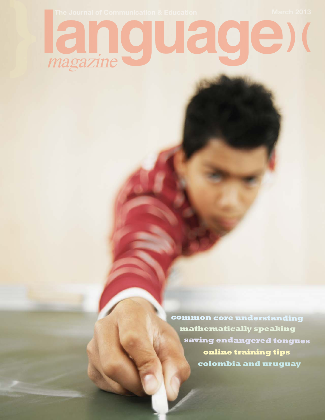## magazine

**common core understanding colombia and uruguay online training tips saving endangered tongues mathematically speaking**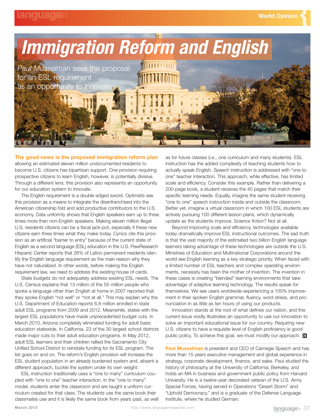

**The good news is the proposed immigration reform plan** allowing an estimated eleven million undocumented residents to become U.S. citizens has bipartisan support. One provision requiring prospective citizens to learn English, however, is potentially divisive. Through a different lens, this provision also represents an opportunity for our education system to innovate.

The English requirement is a double-edged sword. Optimists see this provision as a means to integrate the disenfranchised into the American citizenship fold and add productive contributors to the U.S. economy. Data uniformly shows that English speakers earn up to three times more than non-English speakers. Making eleven million illegal U.S. residents citizens can be a fiscal jack-pot, especially if these new citizens earn three times what they make today. Cynics cite this provision as an artificial "barrier to entry" because of the current state of English as a second language (ESL) education in the U.S. PewResearch Hispanic Center reports that 26% of Latino permanent residents identify the English language requirement as the main reason why they have not naturalized. In other words, before making the English requirement law, we need to address the existing house of cards.

State budgets do not adequately address existing ESL needs. The U.S. Census explains that 13 million of the 55 million people who spoke a language other than English at home in 2007 reported that they spoke English "not well" or "not at all." This may explain why the U.S. Department of Education reports 6.8 million enrolled in state adult ESL programs from 2006 and 2012. Meanwhile, states with the largest ESL populations have made unprecedented budget cuts. In March 2010, Arizona completely eliminated funding for adult basic education statewide. In California, 23 of the 30 largest school districts made major cuts to their adult education programs. In May 2012, adult ESL learners and their children rallied the Sacramento City Unified School District to reinstate funding for its ESL program. The list goes on and on. The reform's English provision will increase the ESL student population in an already burdened system and, absent a different approach, buckle the system under its own weight.

ESL instruction traditionally uses a "one to many" curriculum coupled with "one to one" teacher interaction. In the "one to many" model, students enter the classroom and are taught a uniform curriculum created for that class. The students use the same book their classmates use and it is likely the same book from years past, as well

as for future classes (i.e., one curriculum and many students). ESL instruction has the added complexity of teaching students how to actually speak English. Speech instruction is addressed with "one to one" teacher interaction. This approach, while effective, has limited scale and efficiency. Consider this example. Rather than delivering a 200-page book, a student receives the 40 pages that match their specific learning needs. Equally, imagine the same student receiving "one to one" speech instruction inside and outside the classroom. Better yet, imagine a virtual classroom in which 100 ESL students are actively pursuing 100 different lesson plans, which dynamically update as the students improve. Science fiction? Not at all.

Beyond improving scale and efficiency, technologies available today dramatically improve ESL instructional outcomes. The sad truth is that the vast majority of the estimated two billion English language learners taking advantage of these technologies are outside the U.S. Ministries of Education and Multinational Corporations around the world see English learning as a key strategic priority. When faced with a limited number of ESL teachers and complex operating environments, necessity has been the mother of invention. The invention in these cases is creating "blended" learning environments that take advantage of adaptive learning technology. The results speak for themselves. We see users worldwide experiencing a 100% improvement in their spoken English grammar, fluency, word stress, and pronunciation in as little as ten hours of using our products.

Innovation stands at the root of what defines our nation, and this current issue vividly illustrates an opportunity to use our innovation to solve an important educational issue for our country. Requiring new U.S. citizens to have a requisite level of English proficiency is good public policy. To achieve this goal, we must modify our approach. M

**Paul Musselman** is president and CEO of Carnegie Speech and has more than 15 years executive management and global experience in strategy, corporate development, finance, and sales. Paul studied the history of philosophy at the University of California, Berkeley, and holds an MA in business and government public policy from Harvard University. He is a twelve-year decorated veteran of the U.S. Army Special Forces, having served in Operations "Desert Storm" and "Uphold Democracy," and is a graduate of the Defense Language Institute, where he studied German.